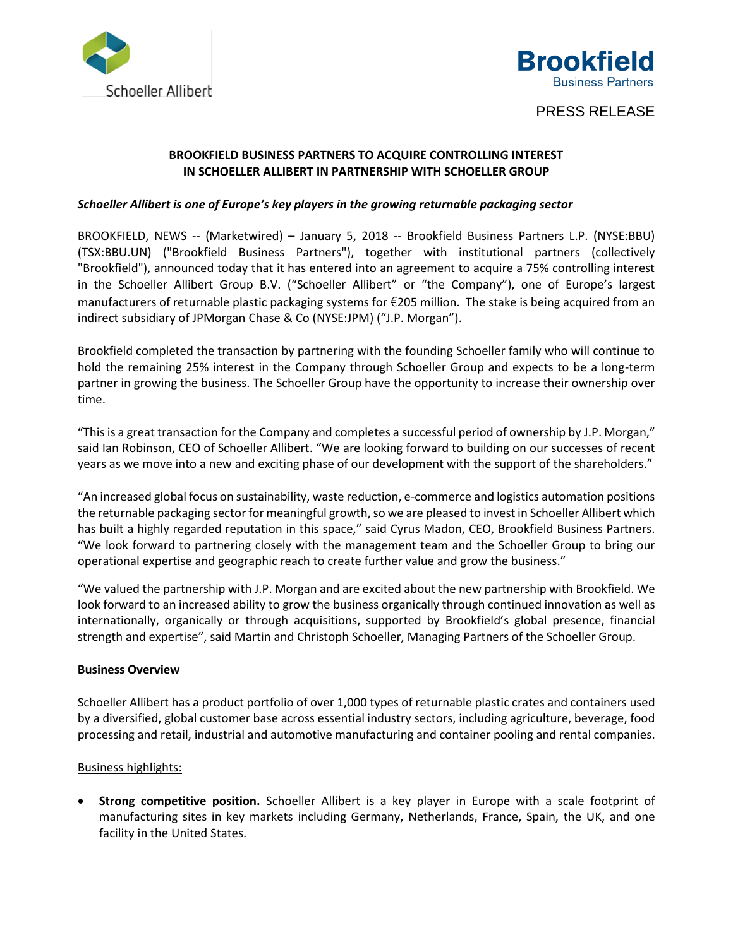



# PRESS RELEASE

## **BROOKFIELD BUSINESS PARTNERS TO ACQUIRE CONTROLLING INTEREST IN SCHOELLER ALLIBERT IN PARTNERSHIP WITH SCHOELLER GROUP**

## *Schoeller Allibert is one of Europe's key players in the growing returnable packaging sector*

BROOKFIELD, NEWS -- (Marketwired) – January 5, 2018 -- Brookfield Business Partners L.P. (NYSE:BBU) (TSX:BBU.UN) ("Brookfield Business Partners"), together with institutional partners (collectively "Brookfield"), announced today that it has entered into an agreement to acquire a 75% controlling interest in the Schoeller Allibert Group B.V. ("Schoeller Allibert" or "the Company"), one of Europe's largest manufacturers of returnable plastic packaging systems for €205 million. The stake is being acquired from an indirect subsidiary of JPMorgan Chase & Co (NYSE:JPM) ("J.P. Morgan").

Brookfield completed the transaction by partnering with the founding Schoeller family who will continue to hold the remaining 25% interest in the Company through Schoeller Group and expects to be a long-term partner in growing the business. The Schoeller Group have the opportunity to increase their ownership over time.

"This is a great transaction for the Company and completes a successful period of ownership by J.P. Morgan," said Ian Robinson, CEO of Schoeller Allibert. "We are looking forward to building on our successes of recent years as we move into a new and exciting phase of our development with the support of the shareholders."

"An increased global focus on sustainability, waste reduction, e-commerce and logistics automation positions the returnable packaging sector for meaningful growth, so we are pleased to invest in Schoeller Allibert which has built a highly regarded reputation in this space," said Cyrus Madon, CEO, Brookfield Business Partners. "We look forward to partnering closely with the management team and the Schoeller Group to bring our operational expertise and geographic reach to create further value and grow the business."

"We valued the partnership with J.P. Morgan and are excited about the new partnership with Brookfield. We look forward to an increased ability to grow the business organically through continued innovation as well as internationally, organically or through acquisitions, supported by Brookfield's global presence, financial strength and expertise", said Martin and Christoph Schoeller, Managing Partners of the Schoeller Group.

#### **Business Overview**

Schoeller Allibert has a product portfolio of over 1,000 types of returnable plastic crates and containers used by a diversified, global customer base across essential industry sectors, including agriculture, beverage, food processing and retail, industrial and automotive manufacturing and container pooling and rental companies.

#### Business highlights:

• **Strong competitive position.** Schoeller Allibert is a key player in Europe with a scale footprint of manufacturing sites in key markets including Germany, Netherlands, France, Spain, the UK, and one facility in the United States.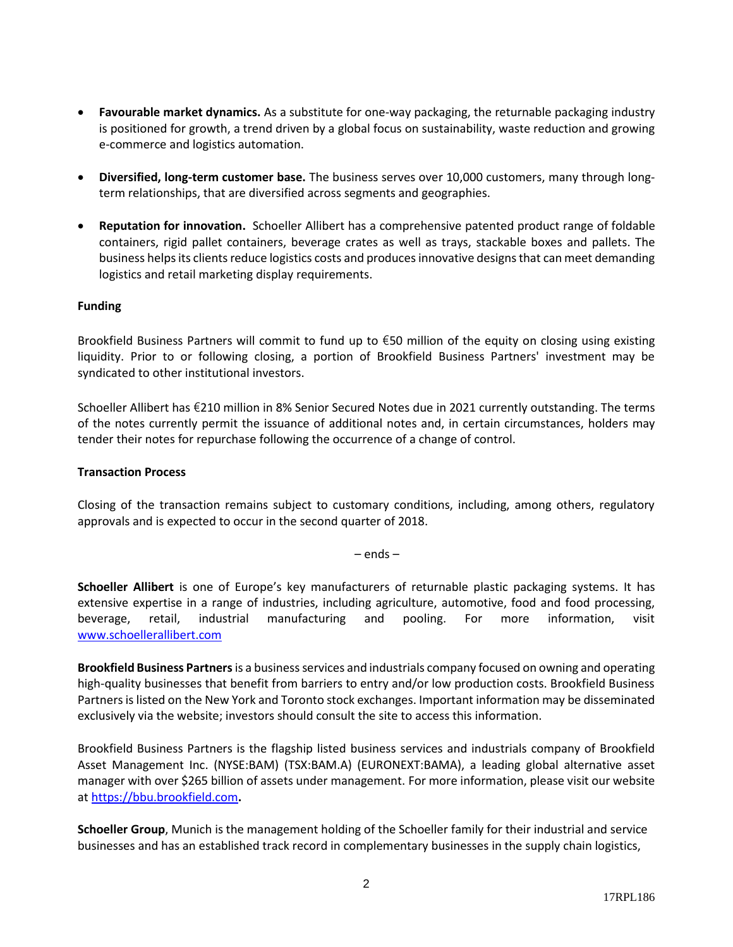- **Favourable market dynamics.** As a substitute for one-way packaging, the returnable packaging industry is positioned for growth, a trend driven by a global focus on sustainability, waste reduction and growing e-commerce and logistics automation.
- **Diversified, long-term customer base.** The business serves over 10,000 customers, many through longterm relationships, that are diversified across segments and geographies.
- **Reputation for innovation.** Schoeller Allibert has a comprehensive patented product range of foldable containers, rigid pallet containers, beverage crates as well as trays, stackable boxes and pallets. The business helps its clients reduce logistics costs and produces innovative designs that can meet demanding logistics and retail marketing display requirements.

# **Funding**

Brookfield Business Partners will commit to fund up to €50 million of the equity on closing using existing liquidity. Prior to or following closing, a portion of Brookfield Business Partners' investment may be syndicated to other institutional investors.

Schoeller Allibert has €210 million in 8% Senior Secured Notes due in 2021 currently outstanding. The terms of the notes currently permit the issuance of additional notes and, in certain circumstances, holders may tender their notes for repurchase following the occurrence of a change of control.

#### **Transaction Process**

Closing of the transaction remains subject to customary conditions, including, among others, regulatory approvals and is expected to occur in the second quarter of 2018.

– ends –

**Schoeller Allibert** is one of Europe's key manufacturers of returnable plastic packaging systems. It has extensive expertise in a range of industries, including agriculture, automotive, food and food processing, beverage, retail, industrial manufacturing and pooling. For more information, visit [www.schoellerallibert.com](http://www.schoellerallibert.com/)

**Brookfield Business Partners** is a businessservices and industrials company focused on owning and operating high-quality businesses that benefit from barriers to entry and/or low production costs. Brookfield Business Partners is listed on the New York and Toronto stock exchanges. Important information may be disseminated exclusively via the website; investors should consult the site to access this information.

Brookfield Business Partners is the flagship listed business services and industrials company of Brookfield Asset Management Inc. (NYSE:BAM) (TSX:BAM.A) (EURONEXT:BAMA), a leading global alternative asset manager with over \$265 billion of assets under management. For more information, please visit our website at [https://bbu.brookfield.com](https://www.globenewswire.com/Tracker?data=P3SHORDmyxyoY87gvNgnxmU-n20eycWd0yxgX7Moa_akb-9fa6iKr88nEvPRiJ1Azh7H8HLsmXnSuQIO-gWuG1RLM_w6E07YSohhHluQQX0=)**.**

**Schoeller Group**, Munich is the management holding of the Schoeller family for their industrial and service businesses and has an established track record in complementary businesses in the supply chain logistics,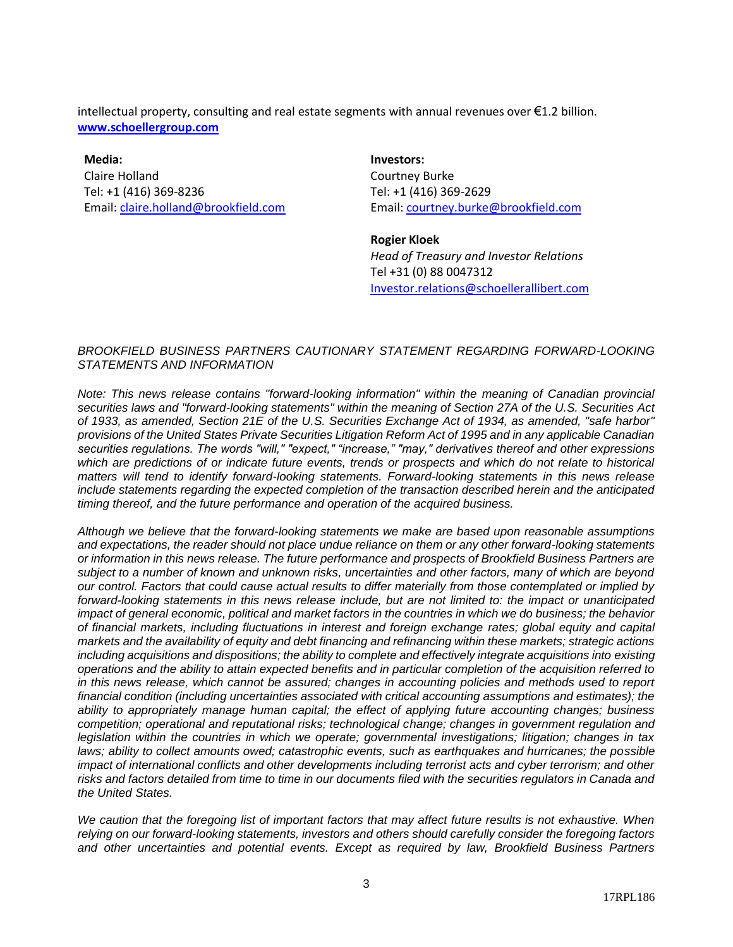intellectual property, consulting and real estate segments with annual revenues over €1.2 billion. **[www.schoellergroup.com](http://www.schoellergroup.com/)**

**Media:** Claire Holland Tel: +1 (416) 369-8236 Email: [claire.holland@brookfield.com](mailto:claire.holland@brookfield.com) **Investors:** Courtney Burke Tel: +1 (416) 369-2629 Email[: courtney.burke@brookfield.com](mailto:courtney.burke@brookfield.com)

**Rogier Kloek**  *Head of Treasury and Investor Relations* Tel +31 (0) 88 0047312 [Investor.relations@schoellerallibert.com](mailto:Investor.relations@schoellerallibert.com)

# *BROOKFIELD BUSINESS PARTNERS CAUTIONARY STATEMENT REGARDING FORWARD-LOOKING STATEMENTS AND INFORMATION*

*Note: This news release contains "forward-looking information" within the meaning of Canadian provincial securities laws and "forward-looking statements" within the meaning of Section 27A of the U.S. Securities Act of 1933, as amended, Section 21E of the U.S. Securities Exchange Act of 1934, as amended, "safe harbor" provisions of the United States Private Securities Litigation Reform Act of 1995 and in any applicable Canadian securities regulations. The words "will," "expect," "increase," "may," derivatives thereof and other expressions*  which are predictions of or indicate future events, trends or prospects and which do not relate to historical *matters will tend to identify forward-looking statements. Forward-looking statements in this news release include statements regarding the expected completion of the transaction described herein and the anticipated timing thereof, and the future performance and operation of the acquired business.* 

*Although we believe that the forward-looking statements we make are based upon reasonable assumptions and expectations, the reader should not place undue reliance on them or any other forward-looking statements or information in this news release. The future performance and prospects of Brookfield Business Partners are subject to a number of known and unknown risks, uncertainties and other factors, many of which are beyond our control. Factors that could cause actual results to differ materially from those contemplated or implied by forward-looking statements in this news release include, but are not limited to: the impact or unanticipated impact of general economic, political and market factors in the countries in which we do business; the behavior of financial markets, including fluctuations in interest and foreign exchange rates; global equity and capital markets and the availability of equity and debt financing and refinancing within these markets; strategic actions including acquisitions and dispositions; the ability to complete and effectively integrate acquisitions into existing operations and the ability to attain expected benefits and in particular completion of the acquisition referred to in this news release, which cannot be assured; changes in accounting policies and methods used to report financial condition (including uncertainties associated with critical accounting assumptions and estimates); the ability to appropriately manage human capital; the effect of applying future accounting changes; business competition; operational and reputational risks; technological change; changes in government regulation and legislation within the countries in which we operate; governmental investigations; litigation; changes in tax laws; ability to collect amounts owed; catastrophic events, such as earthquakes and hurricanes; the possible impact of international conflicts and other developments including terrorist acts and cyber terrorism; and other risks and factors detailed from time to time in our documents filed with the securities regulators in Canada and the United States.* 

*We caution that the foregoing list of important factors that may affect future results is not exhaustive. When relying on our forward-looking statements, investors and others should carefully consider the foregoing factors and other uncertainties and potential events. Except as required by law, Brookfield Business Partners*